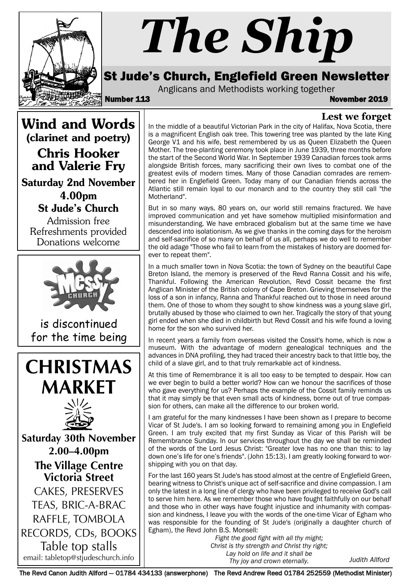

# *The Ship*

# St Jude's Church, Englefield Green Newsletter

Anglicans and Methodists working together

Number 113 November 2019

**Lest we forget**

Wind and Words (clarinet and poetry)

Chris Hooker and Valerie Fry

Saturday 2nd November 4.00pm St Jude's Church

Admission free Refreshments provided Donations welcome



is discontinued for the time being





**Saturday 30th No vember 2.00–4.00pm The Village Centre Victoria Street** CAKES, PRESERVES TEAS, BRIC-A-BRAC RAFFLE, TOMBOLA RECORDS, CDs, BOOKS Table top stalls

In the middle of a beautiful Victorian Park in the city of Halifax, Nova Scotia, there is a magnificent English oak tree. This towering tree was planted by the late King George V1 and his wife, best remembered by us as Queen Elizabeth the Queen Mother. The tree-planting ceremony took place in June 1939, three months before the start of the Second World War. In September 1939 Canadian forces took arms alongside British forces, many sacrificing their own lives to combat one of the greatest evils of modern times. Many of those Canadian comrades are remembered her in Englefield Green. Today many of our Canadian friends across the Atlantic still remain loyal to our monarch and to the country they still call "the Motherland".

But in so many ways, 80 years on, our world still remains fractured. We have improved communication and yet have somehow multiplied misinformation and misunderstanding. We have embraced globalism but at the same time we have descended into isolationism. As we give thanks in the coming days for the heroism and self-sacrifice of so many on behalf of us all, perhaps we do well to remember the old adage "Those who fail to learn from the mistakes of history are doomed forever to repeat them".

In a much smaller town in Nova Scotia: the town of Sydney on the beautiful Cape Breton Island, the memory is preserved of the Revd Ranna Cossit and his wife, Thankful. Following the American Revolution, Revd Cossit became the first Anglican Minister of the British colony of Cape Breton. Grieving themselves for the loss of a son in infancy, Ranna and Thankful reached out to those in need around them. One of those to whom they sought to show kindness was a young slave girl, brutally abused by those who claimed to own her. Tragically the story of that young girl ended when she died in childbirth but Revd Cossit and his wife found a loving home for the son who survived her.

In recent years a family from overseas visited the Cossit's home, which is now a museum. With the advantage of modern genealogical techniques and the advances in DNA profiling, they had traced their ancestry back to that little boy, the child of a slave girl, and to that truly remarkable act of kindness.

At this time of Remembrance it is all too easy to be tempted to despair. How can we ever begin to build a better world? How can we honour the sacrifices of those who gave everything for us? Perhaps the example of the Cossit family reminds us that it may simply be that even small acts of kindness, borne out of true compassion for others, can make all the difference to our broken world.

I am grateful for the many kindnesses I have been shown as I prepare to become Vicar of St Jude's. I am so looking forward to remaining among you in Englefield Green. I am truly excited that my first Sunday as Vicar of this Parish will be Remembrance Sunday. In our services throughout the day we shall be reminded of the words of the Lord Jesus Christ: "Greater love has no one than this: to lay down one's life for one's friends". (John 15:13). I am greatly looking forward to worshipping with you on that day.

For the last 160 years St Jude's has stood almost at the centre of Englefield Green, bearing witness to Christ's unique act of self-sacrifice and divine compassion. I am only the latest in a long line of clergy who have been privileged to receive God's call to serve him here. As we remember those who have fought faithfully on our behalf and those who in other ways have fought injustice and inhumanity with compassion and kindness, I leave you with the words of the one-time Vicar of Egham who was responsible for the founding of St Jude's (originally a daughter church of Egham), the Revd John B.S. Monsell:

email: tabletop@stjudeschurch.info *Judith Allford Fight the good fight with all thy might; Christ is thy strength and Christ thy right; Lay hold on life and it shall be Thy joy and crown eternally.*

The Revd Canon Judith Allford - 01784 434133 (answerphone) The Revd Andrew Reed 01784 252559 (Methodist Minister)